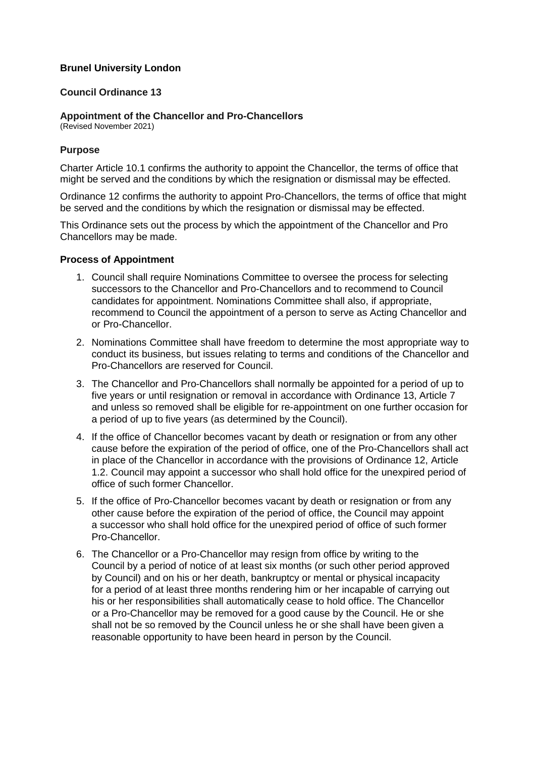## **Brunel University London**

## **Council Ordinance 13**

**Appointment of the Chancellor and Pro-Chancellors**

(Revised November 2021)

## **Purpose**

Charter Article 10.1 confirms the authority to appoint the Chancellor, the terms of office that might be served and the conditions by which the resignation or dismissal may be effected.

Ordinance 12 confirms the authority to appoint Pro-Chancellors, the terms of office that might be served and the conditions by which the resignation or dismissal may be effected.

This Ordinance sets out the process by which the appointment of the Chancellor and Pro Chancellors may be made.

## **Process of Appointment**

- 1. Council shall require Nominations Committee to oversee the process for selecting successors to the Chancellor and Pro-Chancellors and to recommend to Council candidates for appointment. Nominations Committee shall also, if appropriate, recommend to Council the appointment of a person to serve as Acting Chancellor and or Pro-Chancellor.
- 2. Nominations Committee shall have freedom to determine the most appropriate way to conduct its business, but issues relating to terms and conditions of the Chancellor and Pro-Chancellors are reserved for Council.
- 3. The Chancellor and Pro-Chancellors shall normally be appointed for a period of up to five years or until resignation or removal in accordance with Ordinance 13, Article 7 and unless so removed shall be eligible for re-appointment on one further occasion for a period of up to five years (as determined by the Council).
- 4. If the office of Chancellor becomes vacant by death or resignation or from any other cause before the expiration of the period of office, one of the Pro-Chancellors shall act in place of the Chancellor in accordance with the provisions of Ordinance 12, Article 1.2. Council may appoint a successor who shall hold office for the unexpired period of office of such former Chancellor.
- 5. If the office of Pro-Chancellor becomes vacant by death or resignation or from any other cause before the expiration of the period of office, the Council may appoint a successor who shall hold office for the unexpired period of office of such former Pro-Chancellor.
- 6. The Chancellor or a Pro-Chancellor may resign from office by writing to the Council by a period of notice of at least six months (or such other period approved by Council) and on his or her death, bankruptcy or mental or physical incapacity for a period of at least three months rendering him or her incapable of carrying out his or her responsibilities shall automatically cease to hold office. The Chancellor or a Pro-Chancellor may be removed for a good cause by the Council. He or she shall not be so removed by the Council unless he or she shall have been given a reasonable opportunity to have been heard in person by the Council.